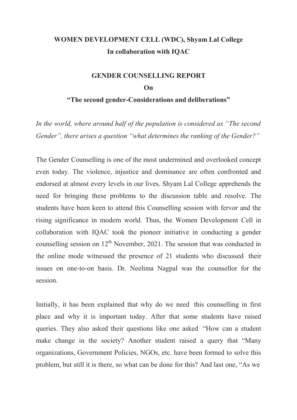#### **WOMEN DEVELOPMENT CELL (WDC), Shyam Lal College In collaboration with IQAC**

#### **GENDER COUNSELLING REPORT On "The second gender-Considerations and deliberations"**

*In the world, where around half of the population is considered as "The second Gender", there arises a question "what determines the ranking of the Gender?"*

The Gender Counselling is one of the most undermined and overlooked concept even today. The violence, injustice and dominance are often confronted and endorsed at almost every levels in our lives. Shyam Lal College apprehends the need for bringing these problems to the discussion table and resolve. The students have been keen to attend this Counselling session with fervor and the rising significance in modern world. Thus, the Women Development Cell in collaboration with IQAC took the pioneer initiative in conducting a gender counselling session on  $12<sup>th</sup>$  November, 2021. The session that was conducted in the online mode witnessed the presence of 21 students who discussed their issues on one-to-on basis. Dr. Neelima Nagpal was the counsellor for the session.

Initially, it has been explained that why do we need this counselling in first place and why it is important today. After that some students have raised queries. They also asked their questions like one asked "How can a student make change in the society? Another student raised a query that "Many organizations, Government Policies, NGOs, etc. have been formed to solve this problem, but still it is there, so what can be done for this? And last one, "As we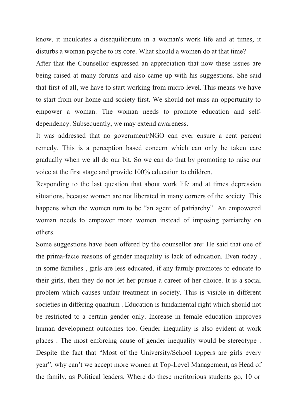know, it inculcates a disequilibrium in a woman's work life and at times, it disturbs a woman psyche to its core. What should a women do at that time?

After that the Counsellor expressed an appreciation that now these issues are being raised at many forums and also came up with his suggestions. She said that first of all, we have to start working from micro level. This means we have to start from our home and society first. We should not miss an opportunity to empower a woman. The woman needs to promote education and selfdependency. Subsequently, we may extend awareness.

It was addressed that no government/NGO can ever ensure a cent percent remedy. This is a perception based concern which can only be taken care gradually when we all do our bit. So we can do that by promoting to raise our voice at the first stage and provide 100% education to children.

Responding to the last question that about work life and at times depression situations, because women are not liberated in many corners of the society. This happens when the women turn to be "an agent of patriarchy". An empowered woman needs to empower more women instead of imposing patriarchy on others.

Some suggestions have been offered by the counsellor are: He said that one of the prima-facie reasons of gender inequality is lack of education. Even today , in some families , girls are less educated, if any family promotes to educate to their girls, then they do not let her pursue a career of her choice. It is a social problem which causes unfair treatment in society. This is visible in different societies in differing quantum . Education is fundamental right which should not be restricted to a certain gender only. Increase in female education improves human development outcomes too. Gender inequality is also evident at work places . The most enforcing cause of gender inequality would be stereotype . Despite the fact that "Most of the University/School toppers are girls every year", why can't we accept more women at Top-Level Management, as Head of the family, as Political leaders. Where do these meritorious students go, 10 or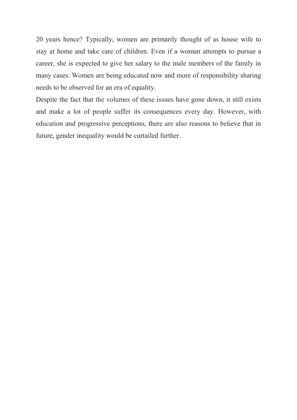20 years hence? Typically, women are primarily thought of as house wife to stay at home and take care of children. Even if a woman attempts to pursue a career, she is expected to give her salary to the male members of the family in many cases. Women are being educated now and more of responsibility sharing needs to be observed for an era of equality.

Despite the fact that the volumes of these issues have gone down, it still exists and make a lot of people suffer its consequences every day. However, with education and progressive perceptions, there are also reasons to believe that in future, gender inequality would be curtailed further.